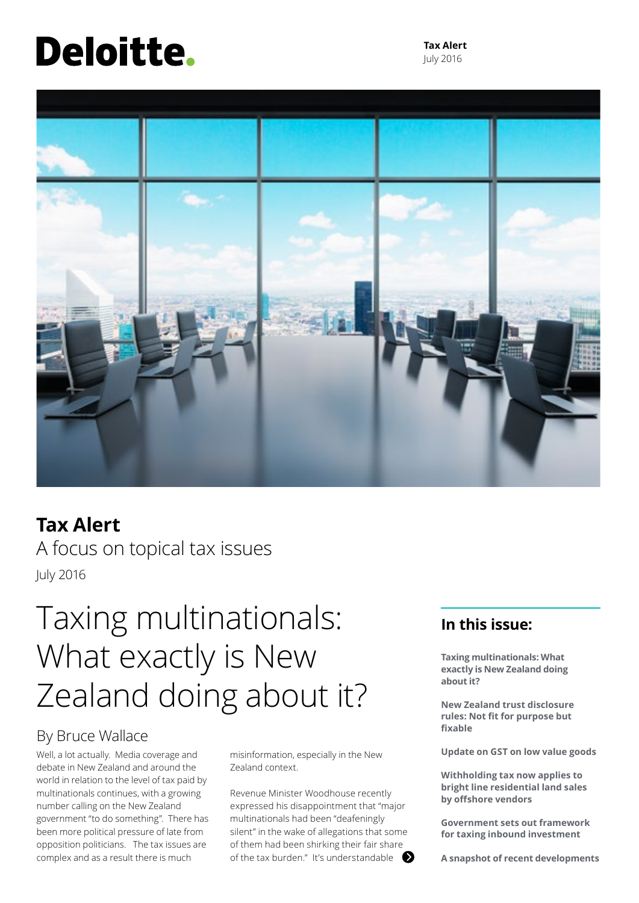# <span id="page-0-0"></span>Deloitte.

**Tax Alert** July 2016



### **Tax Alert**

A focus on topical tax issues July 2016

## Taxing multinationals: What exactly is New Zealand doing about it?

### By Bruce Wallace

Well, a lot actually. Media coverage and debate in New Zealand and around the world in relation to the level of tax paid by multinationals continues, with a growing number calling on the New Zealand government "to do something". There has been more political pressure of late from opposition politicians. The tax issues are complex and as a result there is much

misinformation, especially in the New Zealand context.

Revenue Minister Woodhouse recently expressed his disappointment that "major multinationals had been "deafeningly silent" in the wake of allegations that some of them had been shirking their fair share of the tax burden." It's understandable

### **In this issue:**

**Taxing multinationals: What exactly is New Zealand doing about it?**

**New Zealand trust disclosure rules: Not fit for purpose but fixable**

**Update on GST on low value goods**

**Withholding tax now applies to bright line residential land sales by offshore vendors**

**Government sets out framework for taxing inbound investment**

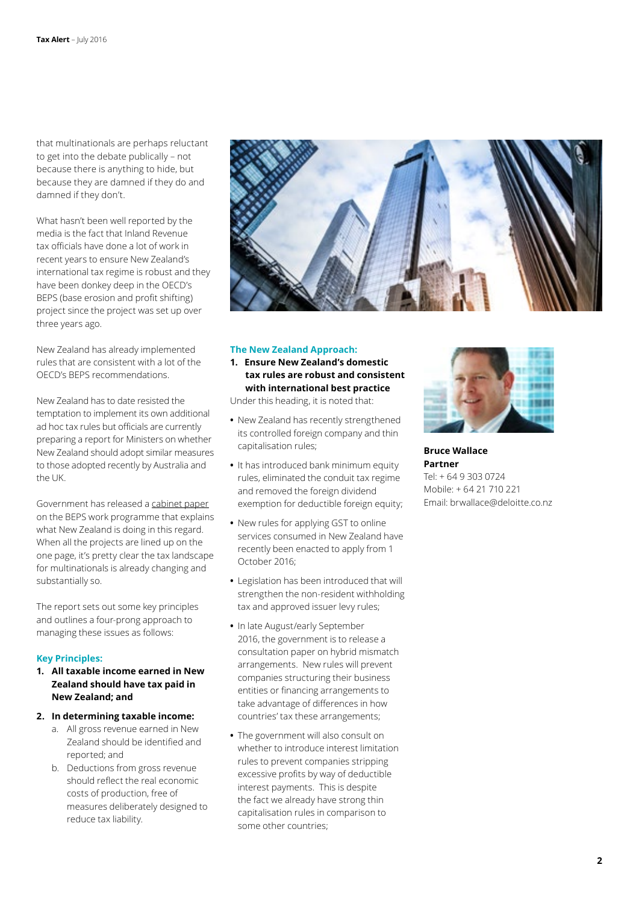that multinationals are perhaps reluctant to get into the debate publically – not because there is anything to hide, but because they are damned if they do and damned if they don't.

What hasn't been well reported by the media is the fact that Inland Revenue tax officials have done a lot of work in recent years to ensure New Zealand's international tax regime is robust and they have been donkey deep in the OECD's BEPS (base erosion and profit shifting) project since the project was set up over three years ago.

New Zealand has already implemented rules that are consistent with a lot of the OECD's BEPS recommendations.

New Zealand has to date resisted the temptation to implement its own additional ad hoc tax rules but officials are currently preparing a report for Ministers on whether New Zealand should adopt similar measures to those adopted recently by Australia and the UK.

Government has released a [cabinet paper](http://taxpolicy.ird.govt.nz/publications/2016-other-cabinet-paper-beps-update/overview) on the BEPS work programme that explains what New Zealand is doing in this regard. When all the projects are lined up on the one page, it's pretty clear the tax landscape for multinationals is already changing and substantially so.

The report sets out some key principles and outlines a four-prong approach to managing these issues as follows:

### **Key Principles:**

**1. All taxable income earned in New Zealand should have tax paid in New Zealand; and**

### **2. In determining taxable income:**

- a. All gross revenue earned in New Zealand should be identified and reported; and
- b. Deductions from gross revenue should reflect the real economic costs of production, free of measures deliberately designed to reduce tax liability.



### **The New Zealand Approach:**

**1. Ensure New Zealand's domestic tax rules are robust and consistent with international best practice** 

Under this heading, it is noted that:

- **•** New Zealand has recently strengthened its controlled foreign company and thin capitalisation rules;
- **•** It has introduced bank minimum equity rules, eliminated the conduit tax regime and removed the foreign dividend exemption for deductible foreign equity;
- **•** New rules for applying GST to online services consumed in New Zealand have recently been enacted to apply from 1 October 2016;
- **•** Legislation has been introduced that will strengthen the non-resident withholding tax and approved issuer levy rules;
- **•** In late August/early September 2016, the government is to release a consultation paper on hybrid mismatch arrangements. New rules will prevent companies structuring their business entities or financing arrangements to take advantage of differences in how countries' tax these arrangements;
- **•** The government will also consult on whether to introduce interest limitation rules to prevent companies stripping excessive profits by way of deductible interest payments. This is despite the fact we already have strong thin capitalisation rules in comparison to some other countries;



**Bruce Wallace Partner** Tel: + 64 9 303 0724 Mobile: + 64 21 710 221 Email: brwallace@deloitte.co.nz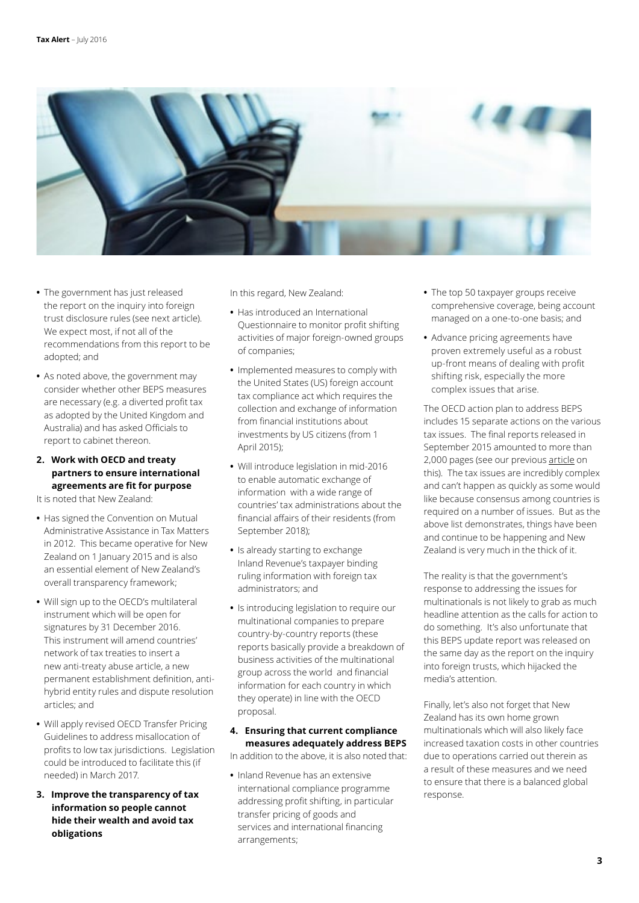

- **•** The government has just released the report on the inquiry into foreign trust disclosure rules [\(see next article\)](#page-3-0). We expect most, if not all of the recommendations from this report to be adopted; and
- **•** As noted above, the government may consider whether other BEPS measures are necessary (e.g. a diverted profit tax as adopted by the United Kingdom and Australia) and has asked Officials to report to cabinet thereon.

### **2. Work with OECD and treaty partners to ensure international agreements are fit for purpose**

It is noted that New Zealand:

- **•** Has signed the Convention on Mutual Administrative Assistance in Tax Matters in 2012. This became operative for New Zealand on 1 January 2015 and is also an essential element of New Zealand's overall transparency framework;
- **•** Will sign up to the OECD's multilateral instrument which will be open for signatures by 31 December 2016. This instrument will amend countries' network of tax treaties to insert a new anti-treaty abuse article, a new permanent establishment definition, antihybrid entity rules and dispute resolution articles; and
- **•** Will apply revised OECD Transfer Pricing Guidelines to address misallocation of profits to low tax jurisdictions. Legislation could be introduced to facilitate this (if needed) in March 2017.
- **3. Improve the transparency of tax information so people cannot hide their wealth and avoid tax obligations**

In this regard, New Zealand:

- **•** Has introduced an International Questionnaire to monitor profit shifting activities of major foreign-owned groups of companies;
- **•** Implemented measures to comply with the United States (US) foreign account tax compliance act which requires the collection and exchange of information from financial institutions about investments by US citizens (from 1 April 2015);
- **•** Will introduce legislation in mid-2016 to enable automatic exchange of information with a wide range of countries' tax administrations about the financial affairs of their residents (from September 2018);
- **•** Is already starting to exchange Inland Revenue's taxpayer binding ruling information with foreign tax administrators; and
- **•** Is introducing legislation to require our multinational companies to prepare country-by-country reports (these reports basically provide a breakdown of business activities of the multinational group across the world and financial information for each country in which they operate) in line with the OECD proposal.

### **4. Ensuring that current compliance measures adequately address BEPS**

In addition to the above, it is also noted that:

**•** Inland Revenue has an extensive international compliance programme addressing profit shifting, in particular transfer pricing of goods and services and international financing arrangements;

- **•** The top 50 taxpayer groups receive comprehensive coverage, being account managed on a one-to-one basis; and
- **•** Advance pricing agreements have proven extremely useful as a robust up-front means of dealing with profit shifting risk, especially the more complex issues that arise.

The OECD action plan to address BEPS includes 15 separate actions on the various tax issues. The final reports released in September 2015 amounted to more than 2,000 pages (see our previous [article](http://www2.deloitte.com/nz/en/pages/tax-alerts/articles/final-beps-reports-released.html) on this). The tax issues are incredibly complex and can't happen as quickly as some would like because consensus among countries is required on a number of issues. But as the above list demonstrates, things have been and continue to be happening and New Zealand is very much in the thick of it.

The reality is that the government's response to addressing the issues for multinationals is not likely to grab as much headline attention as the calls for action to do something. It's also unfortunate that this BEPS update report was released on the same day as the report on the inquiry into foreign trusts, which hijacked the media's attention.

Finally, let's also not forget that New Zealand has its own home grown multinationals which will also likely face increased taxation costs in other countries due to operations carried out therein as a result of these measures and we need to ensure that there is a balanced global response.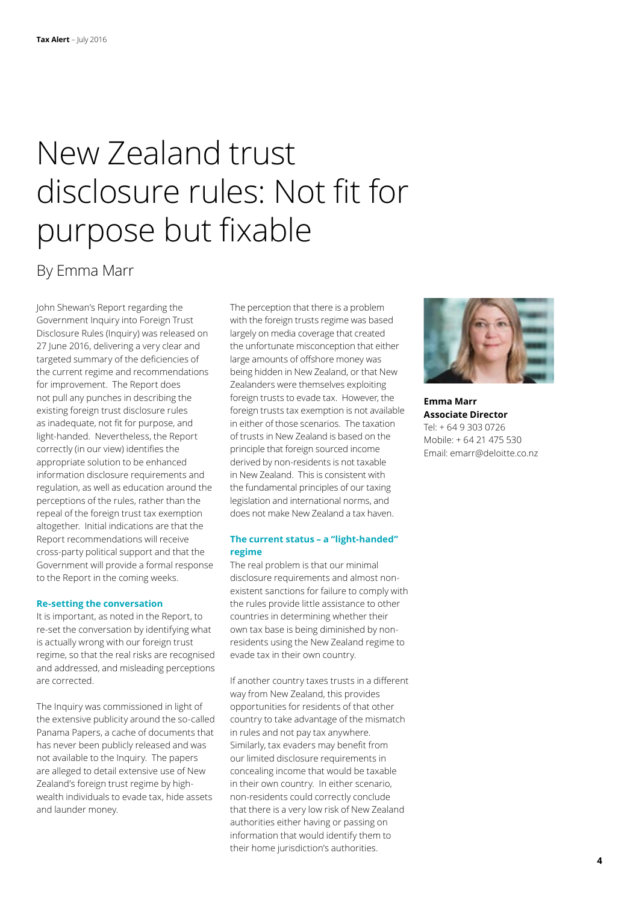## <span id="page-3-0"></span>New Zealand trust disclosure rules: Not fit for purpose but fixable

### By Emma Marr

John Shewan's Report regarding the Government Inquiry into Foreign Trust Disclosure Rules (Inquiry) was released on 27 June 2016, delivering a very clear and targeted summary of the deficiencies of the current regime and recommendations for improvement. The Report does not pull any punches in describing the existing foreign trust disclosure rules as inadequate, not fit for purpose, and light-handed. Nevertheless, the Report correctly (in our view) identifies the appropriate solution to be enhanced information disclosure requirements and regulation, as well as education around the perceptions of the rules, rather than the repeal of the foreign trust tax exemption altogether. Initial indications are that the Report recommendations will receive cross-party political support and that the Government will provide a formal response to the Report in the coming weeks.

### **Re-setting the conversation**

It is important, as noted in the Report, to re-set the conversation by identifying what is actually wrong with our foreign trust regime, so that the real risks are recognised and addressed, and misleading perceptions are corrected.

The Inquiry was commissioned in light of the extensive publicity around the so-called Panama Papers, a cache of documents that has never been publicly released and was not available to the Inquiry. The papers are alleged to detail extensive use of New Zealand's foreign trust regime by highwealth individuals to evade tax, hide assets and launder money.

The perception that there is a problem with the foreign trusts regime was based largely on media coverage that created the unfortunate misconception that either large amounts of offshore money was being hidden in New Zealand, or that New Zealanders were themselves exploiting foreign trusts to evade tax. However, the foreign trusts tax exemption is not available in either of those scenarios. The taxation of trusts in New Zealand is based on the principle that foreign sourced income derived by non-residents is not taxable in New Zealand. This is consistent with the fundamental principles of our taxing legislation and international norms, and does not make New Zealand a tax haven.

### **The current status – a "light-handed" regime**

The real problem is that our minimal disclosure requirements and almost nonexistent sanctions for failure to comply with the rules provide little assistance to other countries in determining whether their own tax base is being diminished by nonresidents using the New Zealand regime to evade tax in their own country.

If another country taxes trusts in a different way from New Zealand, this provides opportunities for residents of that other country to take advantage of the mismatch in rules and not pay tax anywhere. Similarly, tax evaders may benefit from our limited disclosure requirements in concealing income that would be taxable in their own country. In either scenario, non-residents could correctly conclude that there is a very low risk of New Zealand authorities either having or passing on information that would identify them to their home jurisdiction's authorities.



**Emma Marr Associate Director** Tel: + 64 9 303 0726 Mobile: + 64 21 475 530 Email: emarr@deloitte.co.nz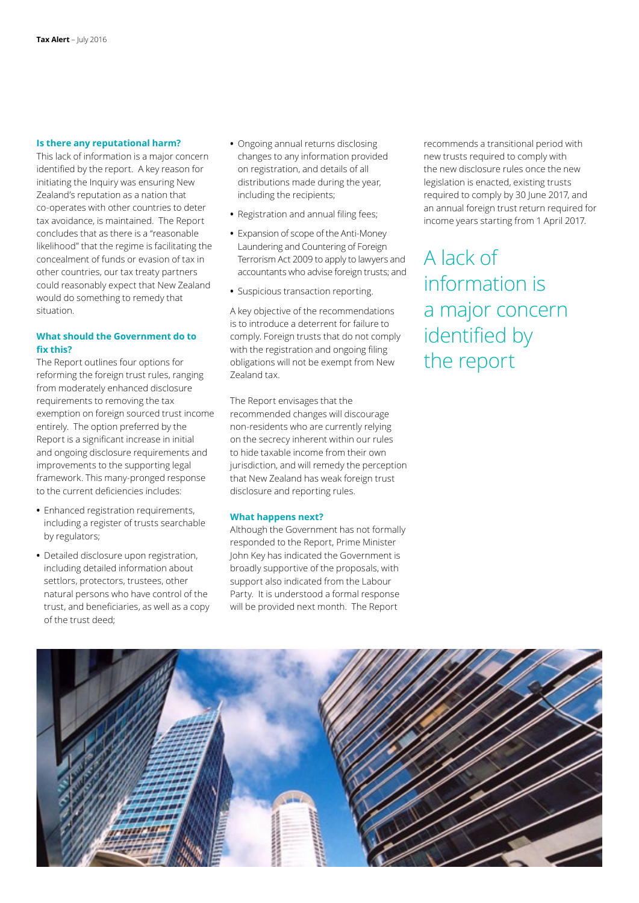### **Is there any reputational harm?**

This lack of information is a major concern identified by the report. A key reason for initiating the Inquiry was ensuring New Zealand's reputation as a nation that co-operates with other countries to deter tax avoidance, is maintained. The Report concludes that as there is a "reasonable likelihood" that the regime is facilitating the concealment of funds or evasion of tax in other countries, our tax treaty partners could reasonably expect that New Zealand would do something to remedy that situation.

### **What should the Government do to fix this?**

The Report outlines four options for reforming the foreign trust rules, ranging from moderately enhanced disclosure requirements to removing the tax exemption on foreign sourced trust income entirely. The option preferred by the Report is a significant increase in initial and ongoing disclosure requirements and improvements to the supporting legal framework. This many-pronged response to the current deficiencies includes:

- **•** Enhanced registration requirements, including a register of trusts searchable by regulators;
- **•** Detailed disclosure upon registration, including detailed information about settlors, protectors, trustees, other natural persons who have control of the trust, and beneficiaries, as well as a copy of the trust deed;
- **•** Ongoing annual returns disclosing changes to any information provided on registration, and details of all distributions made during the year, including the recipients;
- **•** Registration and annual filing fees;
- **•** Expansion of scope of the Anti-Money Laundering and Countering of Foreign Terrorism Act 2009 to apply to lawyers and accountants who advise foreign trusts; and
- **•** Suspicious transaction reporting.

A key objective of the recommendations is to introduce a deterrent for failure to comply. Foreign trusts that do not comply with the registration and ongoing filing obligations will not be exempt from New Zealand tax.

The Report envisages that the recommended changes will discourage non-residents who are currently relying on the secrecy inherent within our rules to hide taxable income from their own jurisdiction, and will remedy the perception that New Zealand has weak foreign trust disclosure and reporting rules.

#### **What happens next?**

Although the Government has not formally responded to the Report, Prime Minister John Key has indicated the Government is broadly supportive of the proposals, with support also indicated from the Labour Party. It is understood a formal response will be provided next month. The Report

recommends a transitional period with new trusts required to comply with the new disclosure rules once the new legislation is enacted, existing trusts required to comply by 30 June 2017, and an annual foreign trust return required for income years starting from 1 April 2017.

A lack of information is a major concern identified by the report

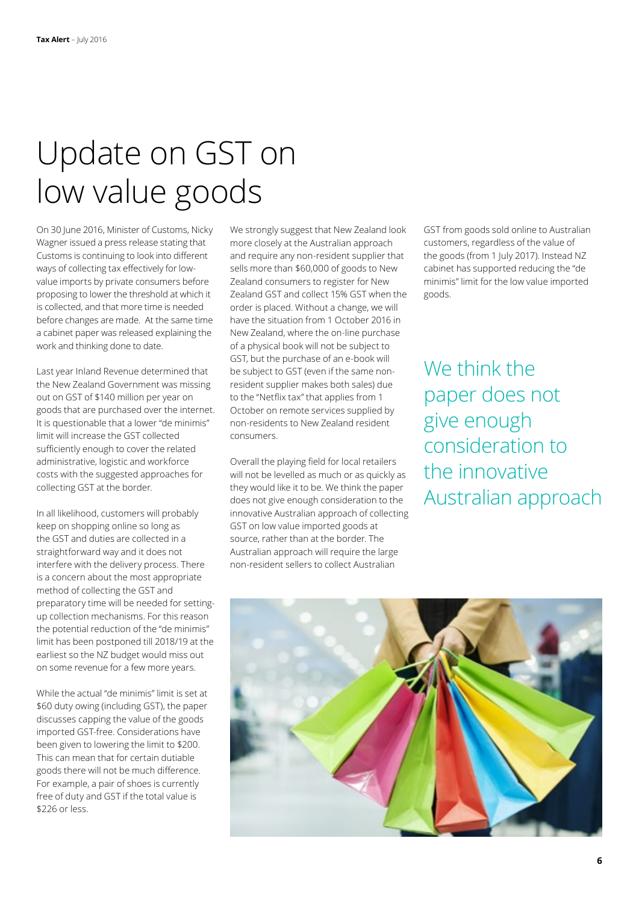## Update on GST on low value goods

On 30 June 2016, Minister of Customs, Nicky Wagner issued a press release stating that Customs is continuing to look into different ways of collecting tax effectively for lowvalue imports by private consumers before proposing to lower the threshold at which it is collected, and that more time is needed before changes are made. At the same time a cabinet paper was released explaining the work and thinking done to date.

Last year Inland Revenue determined that the New Zealand Government was missing out on GST of \$140 million per year on goods that are purchased over the internet. It is questionable that a lower "de minimis" limit will increase the GST collected sufficiently enough to cover the related administrative, logistic and workforce costs with the suggested approaches for collecting GST at the border.

In all likelihood, customers will probably keep on shopping online so long as the GST and duties are collected in a straightforward way and it does not interfere with the delivery process. There is a concern about the most appropriate method of collecting the GST and preparatory time will be needed for settingup collection mechanisms. For this reason the potential reduction of the "de minimis" limit has been postponed till 2018/19 at the earliest so the NZ budget would miss out on some revenue for a few more years.

While the actual "de minimis" limit is set at \$60 duty owing (including GST), the paper discusses capping the value of the goods imported GST-free. Considerations have been given to lowering the limit to \$200. This can mean that for certain dutiable goods there will not be much difference. For example, a pair of shoes is currently free of duty and GST if the total value is \$226 or less.

We strongly suggest that New Zealand look more closely at the Australian approach and require any non-resident supplier that sells more than \$60,000 of goods to New Zealand consumers to register for New Zealand GST and collect 15% GST when the order is placed. Without a change, we will have the situation from 1 October 2016 in New Zealand, where the on-line purchase of a physical book will not be subject to GST, but the purchase of an e-book will be subject to GST (even if the same nonresident supplier makes both sales) due to the "Netflix tax" that applies from 1 October on remote services supplied by non-residents to New Zealand resident consumers.

Overall the playing field for local retailers will not be levelled as much or as quickly as they would like it to be. We think the paper does not give enough consideration to the innovative Australian approach of collecting GST on low value imported goods at source, rather than at the border. The Australian approach will require the large non-resident sellers to collect Australian

GST from goods sold online to Australian customers, regardless of the value of the goods (from 1 July 2017). Instead NZ cabinet has supported reducing the "de minimis" limit for the low value imported goods.

We think the paper does not give enough consideration to the innovative Australian approach

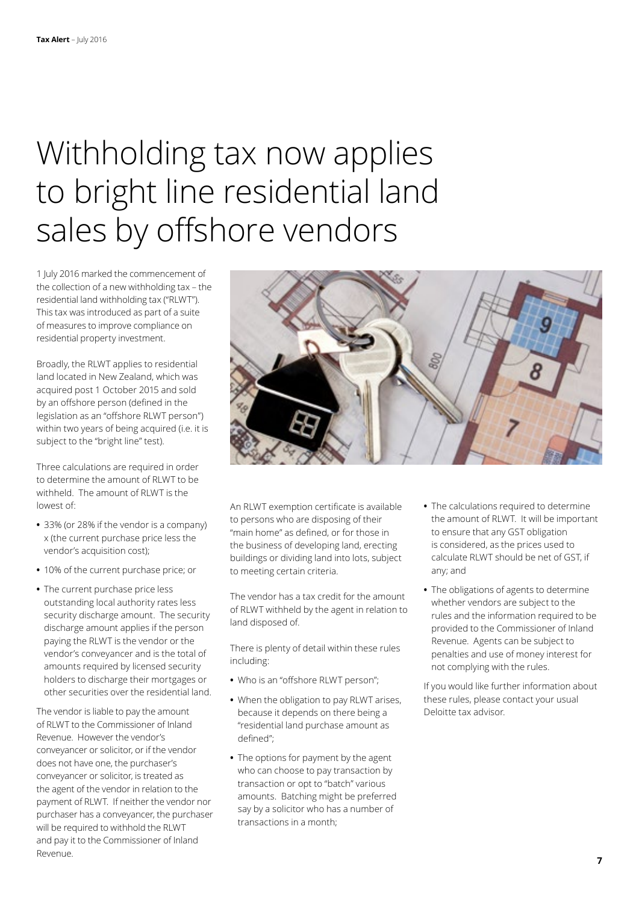## Withholding tax now applies to bright line residential land sales by offshore vendors

1 July 2016 marked the commencement of the collection of a new withholding tax – the residential land withholding tax ("RLWT"). This tax was introduced as part of a suite of measures to improve compliance on residential property investment.

Broadly, the RLWT applies to residential land located in New Zealand, which was acquired post 1 October 2015 and sold by an offshore person (defined in the legislation as an "offshore RLWT person") within two years of being acquired (i.e. it is subject to the "bright line" test).

Three calculations are required in order to determine the amount of RLWT to be withheld. The amount of RLWT is the lowest of:

- **•** 33% (or 28% if the vendor is a company) x (the current purchase price less the vendor's acquisition cost);
- **•** 10% of the current purchase price; or
- **•** The current purchase price less outstanding local authority rates less security discharge amount. The security discharge amount applies if the person paying the RLWT is the vendor or the vendor's conveyancer and is the total of amounts required by licensed security holders to discharge their mortgages or other securities over the residential land.

The vendor is liable to pay the amount of RLWT to the Commissioner of Inland Revenue. However the vendor's conveyancer or solicitor, or if the vendor does not have one, the purchaser's conveyancer or solicitor, is treated as the agent of the vendor in relation to the payment of RLWT. If neither the vendor nor purchaser has a conveyancer, the purchaser will be required to withhold the RLWT and pay it to the Commissioner of Inland Revenue.



An RLWT exemption certificate is available to persons who are disposing of their "main home" as defined, or for those in the business of developing land, erecting buildings or dividing land into lots, subject to meeting certain criteria.

The vendor has a tax credit for the amount of RLWT withheld by the agent in relation to land disposed of.

There is plenty of detail within these rules including:

- **•** Who is an "offshore RLWT person";
- **•** When the obligation to pay RLWT arises, because it depends on there being a "residential land purchase amount as defined";
- **•** The options for payment by the agent who can choose to pay transaction by transaction or opt to "batch" various amounts. Batching might be preferred say by a solicitor who has a number of transactions in a month;
- **•** The calculations required to determine the amount of RLWT. It will be important to ensure that any GST obligation is considered, as the prices used to calculate RLWT should be net of GST, if any; and
- **•** The obligations of agents to determine whether vendors are subject to the rules and the information required to be provided to the Commissioner of Inland Revenue. Agents can be subject to penalties and use of money interest for not complying with the rules.

If you would like further information about these rules, please contact your usual Deloitte tax advisor.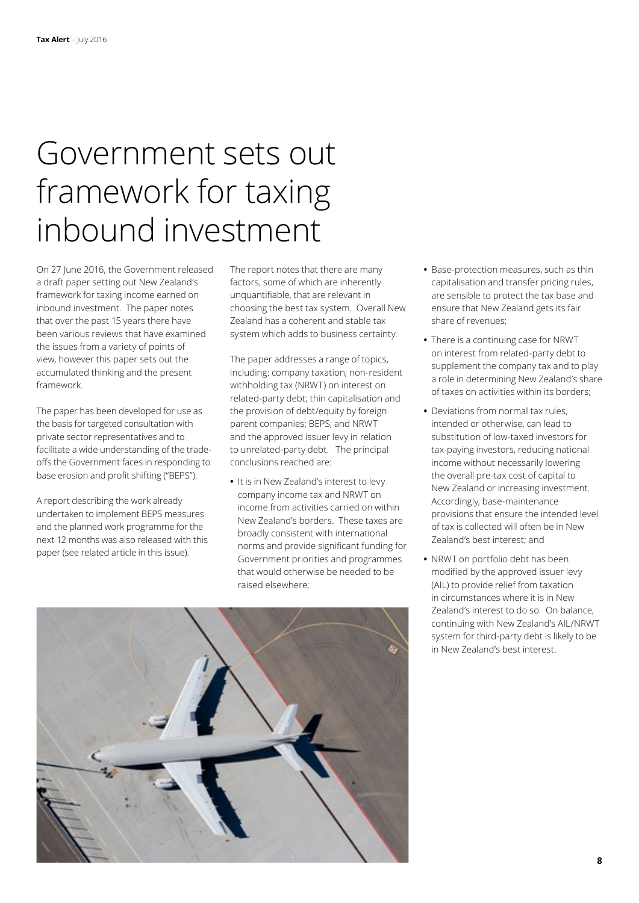### Government sets out framework for taxing inbound investment

On 27 June 2016, the Government released a draft paper setting out New Zealand's framework for taxing income earned on inbound investment. The paper notes that over the past 15 years there have been various reviews that have examined the issues from a variety of points of view, however this paper sets out the accumulated thinking and the present framework.

The paper has been developed for use as the basis for targeted consultation with private sector representatives and to facilitate a wide understanding of the tradeoffs the Government faces in responding to base erosion and profit shifting ("BEPS").

A report describing the work already undertaken to implement BEPS measures and the planned work programme for the next 12 months was also released with this paper [\(see related article in this issue\)](#page-0-0).

The report notes that there are many factors, some of which are inherently unquantifiable, that are relevant in choosing the best tax system. Overall New Zealand has a coherent and stable tax system which adds to business certainty.

The paper addresses a range of topics, including: company taxation; non-resident withholding tax (NRWT) on interest on related-party debt; thin capitalisation and the provision of debt/equity by foreign parent companies; BEPS; and NRWT and the approved issuer levy in relation to unrelated-party debt. The principal conclusions reached are:

**•** It is in New Zealand's interest to levy company income tax and NRWT on income from activities carried on within New Zealand's borders. These taxes are broadly consistent with international norms and provide significant funding for Government priorities and programmes that would otherwise be needed to be raised elsewhere;

- **•** Base-protection measures, such as thin capitalisation and transfer pricing rules, are sensible to protect the tax base and ensure that New Zealand gets its fair share of revenues;
- **•** There is a continuing case for NRWT on interest from related-party debt to supplement the company tax and to play a role in determining New Zealand's share of taxes on activities within its borders;
- **•** Deviations from normal tax rules, intended or otherwise, can lead to substitution of low-taxed investors for tax-paying investors, reducing national income without necessarily lowering the overall pre-tax cost of capital to New Zealand or increasing investment. Accordingly, base-maintenance provisions that ensure the intended level of tax is collected will often be in New Zealand's best interest; and
- **•** NRWT on portfolio debt has been modified by the approved issuer levy (AIL) to provide relief from taxation in circumstances where it is in New Zealand's interest to do so. On balance, continuing with New Zealand's AIL/NRWT system for third-party debt is likely to be in New Zealand's best interest.

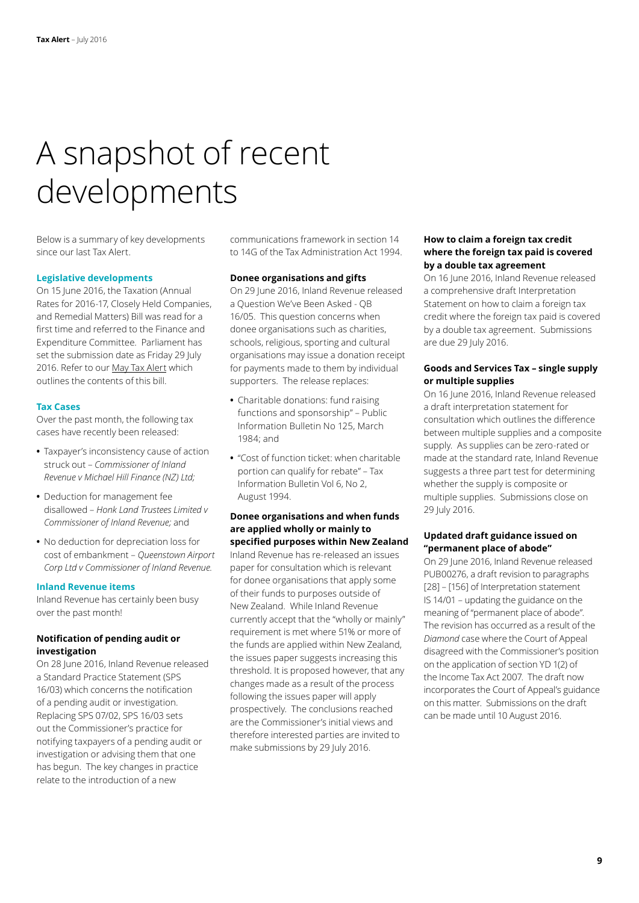## A snapshot of recent developments

Below is a summary of key developments since our last Tax Alert.

### **Legislative developments**

On 15 June 2016, the Taxation (Annual Rates for 2016-17, Closely Held Companies, and Remedial Matters) Bill was read for a first time and referred to the Finance and Expenditure Committee. Parliament has set the submission date as Friday 29 July 2016. Refer to our [May Tax Alert](http://www2.deloitte.com/content/dam/Deloitte/nz/Documents/tax/Tax-alert/2016/nz-tax-alert-may-2016.pdf) which outlines the contents of this bill.

#### **Tax Cases**

Over the past month, the following tax cases have recently been released:

- **•** Taxpayer's inconsistency cause of action struck out – *Commissioner of Inland Revenue v Michael Hill Finance (NZ) Ltd;*
- **•** Deduction for management fee disallowed – *Honk Land Trustees Limited v Commissioner of Inland Revenue;* and
- **•** No deduction for depreciation loss for cost of embankment – *Queenstown Airport Corp Ltd v Commissioner of Inland Revenue.*

#### **Inland Revenue items**

Inland Revenue has certainly been busy over the past month!

### **Notification of pending audit or investigation**

On 28 June 2016, Inland Revenue released a Standard Practice Statement (SPS 16/03) which concerns the notification of a pending audit or investigation. Replacing SPS 07/02, SPS 16/03 sets out the Commissioner's practice for notifying taxpayers of a pending audit or investigation or advising them that one has begun. The key changes in practice relate to the introduction of a new

communications framework in section 14 to 14G of the Tax Administration Act 1994.

#### **Donee organisations and gifts**

On 29 June 2016, Inland Revenue released a Question We've Been Asked - QB 16/05. This question concerns when donee organisations such as charities, schools, religious, sporting and cultural organisations may issue a donation receipt for payments made to them by individual supporters. The release replaces:

- **•** Charitable donations: fund raising functions and sponsorship" – Public Information Bulletin No 125, March 1984; and
- **•** "Cost of function ticket: when charitable portion can qualify for rebate" – Tax Information Bulletin Vol 6, No 2, August 1994.

### **Donee organisations and when funds are applied wholly or mainly to specified purposes within New Zealand**

Inland Revenue has re-released an issues paper for consultation which is relevant for donee organisations that apply some of their funds to purposes outside of New Zealand. While Inland Revenue currently accept that the "wholly or mainly" requirement is met where 51% or more of the funds are applied within New Zealand, the issues paper suggests increasing this threshold. It is proposed however, that any changes made as a result of the process following the issues paper will apply prospectively. The conclusions reached are the Commissioner's initial views and therefore interested parties are invited to make submissions by 29 July 2016.

### **How to claim a foreign tax credit where the foreign tax paid is covered by a double tax agreement**

On 16 June 2016, Inland Revenue released a comprehensive draft Interpretation Statement on how to claim a foreign tax credit where the foreign tax paid is covered by a double tax agreement. Submissions are due 29 July 2016.

### **Goods and Services Tax – single supply or multiple supplies**

On 16 June 2016, Inland Revenue released a draft interpretation statement for consultation which outlines the difference between multiple supplies and a composite supply. As supplies can be zero-rated or made at the standard rate, Inland Revenue suggests a three part test for determining whether the supply is composite or multiple supplies. Submissions close on 29 July 2016.

### **Updated draft guidance issued on "permanent place of abode"**

On 29 June 2016, Inland Revenue released PUB00276, a draft revision to paragraphs [28] – [156] of Interpretation statement IS 14/01 – updating the guidance on the meaning of "permanent place of abode". The revision has occurred as a result of the *Diamond* case where the Court of Appeal disagreed with the Commissioner's position on the application of section YD 1(2) of the Income Tax Act 2007. The draft now incorporates the Court of Appeal's guidance on this matter. Submissions on the draft can be made until 10 August 2016.